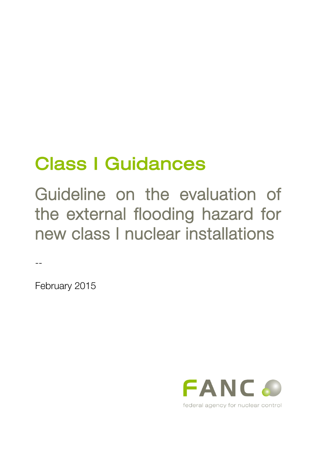# Class I Guidances

Guideline on the evaluation of the external flooding hazard for new class I nuclear installations

February 2015

--

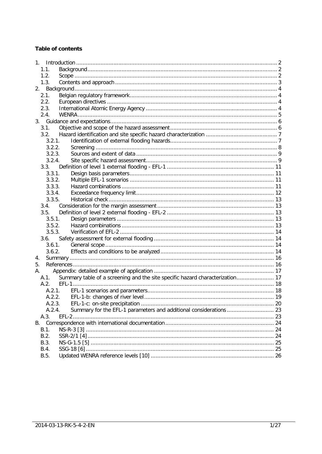## **Table of contents**

| $1_{\ldots}$ |                                                                               |  |
|--------------|-------------------------------------------------------------------------------|--|
| 1.1.         |                                                                               |  |
| 1.2.         |                                                                               |  |
| 1.3.         |                                                                               |  |
|              |                                                                               |  |
| 2.1.         |                                                                               |  |
| 2.2.         |                                                                               |  |
| 2.3.         |                                                                               |  |
| 2.4.         |                                                                               |  |
|              |                                                                               |  |
| 3.1.         |                                                                               |  |
| 3.2.         |                                                                               |  |
| 3.2.1.       |                                                                               |  |
| 3.2.2.       |                                                                               |  |
| 3.2.3.       |                                                                               |  |
| 3.2.4.       |                                                                               |  |
| 3.3.         |                                                                               |  |
| 3.3.1.       |                                                                               |  |
| 3.3.2.       |                                                                               |  |
| 3.3.3.       |                                                                               |  |
| 3.3.4.       |                                                                               |  |
| 3.3.5.       |                                                                               |  |
|              |                                                                               |  |
| 3.4.         |                                                                               |  |
| 3.5.         |                                                                               |  |
| 3.5.1.       |                                                                               |  |
| 3.5.2.       |                                                                               |  |
| 3.5.3.       |                                                                               |  |
| 3.6.         |                                                                               |  |
| 3.6.1.       |                                                                               |  |
| 3.6.2.       |                                                                               |  |
| 4.           |                                                                               |  |
| 5.           |                                                                               |  |
| А.           |                                                                               |  |
| A.1.         | Summary table of a screening and the site specific hazard characterization 17 |  |
| $A$ 2        |                                                                               |  |
|              | A.2.1.                                                                        |  |
|              |                                                                               |  |
| A.2.3.       |                                                                               |  |
| A.2.4.       |                                                                               |  |
| A.3.         |                                                                               |  |
| B.           |                                                                               |  |
| B.1.         |                                                                               |  |
| B.2.         |                                                                               |  |
| B.3.         |                                                                               |  |
| B.4.         |                                                                               |  |
| B.5.         |                                                                               |  |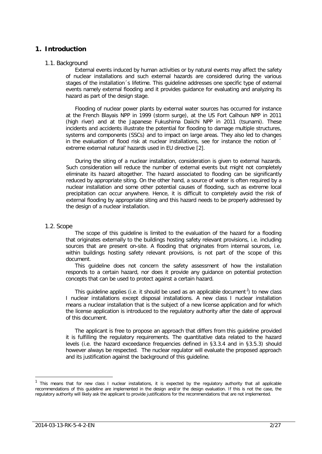## <span id="page-2-0"></span>**1. Introduction**

#### <span id="page-2-1"></span>1.1. Background

External events induced by human activities or by natural events may affect the safety of nuclear installations and such external hazards are considered during the various stages of the installation´s lifetime. This guideline addresses one specific type of external events namely external flooding and it provides guidance for evaluating and analyzing its hazard as part of the design stage.

Flooding of nuclear power plants by external water sources has occurred for instance at the French Blayais NPP in 1999 (storm surge), at the US Fort Calhoun NPP in 2011 (high river) and at the Japanese Fukushima Daiichi NPP in 2011 (tsunami). These incidents and accidents illustrate the potential for flooding to damage multiple structures, systems and components (SSCs) and to impact on large areas. They also led to changes in the evaluation of flood risk at nuclear installations, see for instance the notion of <sup>o</sup> extreme external natural' hazards used in EU directive [\[2\]](#page-16-2).

During the siting of a nuclear installation, consideration is given to external hazards. Such consideration will reduce the number of external events but might not completely eliminate its hazard altogether. The hazard associated to flooding can be significantly reduced by appropriate siting. On the other hand, a source of water is often required by a nuclear installation and some other potential causes of flooding, such as extreme local precipitation can occur anywhere. Hence, it is difficult to completely avoid the risk of external flooding by appropriate siting and this hazard needs to be properly addressed by the design of a nuclear installation.

#### <span id="page-2-2"></span>1.2. Scope

The scope of this guideline is limited to the evaluation of the hazard for a flooding that originates externally to the buildings hosting safety relevant provisions, i.e. including sources that are present on-site. A flooding that originates from internal sources, i.e. within buildings hosting safety relevant provisions, is not part of the scope of this document.

This guideline does not concern the safety assessment of how the installation responds to a certain hazard, nor does it provide any guidance on potential protection concepts that can be used to protect against a certain hazard.

This guideline applies (i.e. it should be used as an applicable document<sup> $1$ </sup>) to new class I nuclear installations except disposal installations. A new class I nuclear installation means a nuclear installation that is the subject of a new license application and for which the license application is introduced to the regulatory authority after the date of approval of this document.

The applicant is free to propose an approach that differs from this guideline provided it is fulfilling the regulatory requirements. The quantitative data related to the hazard levels (i.e. the hazard exceedance frequencies defined in [§3.3.4](#page-12-0) and in [§3.5.3\)](#page-14-0) should however always be respected. The nuclear regulator will evaluate the proposed approach and its justification against the background of this guideline.

<span id="page-2-3"></span> $1$  This means that for new class I nuclear installations, it is expected by the regulatory authority that all applicable recommendations of this guideline are implemented in the design and/or the design evaluation. If this is not the case, the regulatory authority will likely ask the applicant to provide justifications for the recommendations that are not implemented.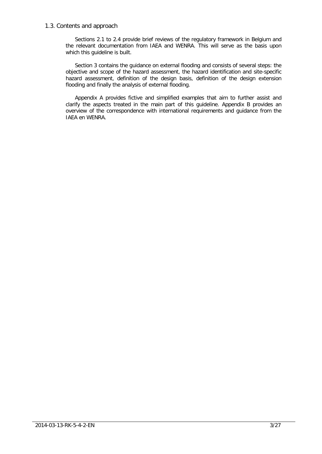#### <span id="page-3-0"></span>1.3. Contents and approach

Sections [2.1](#page-4-1) to [2.4](#page-5-0) provide brief reviews of the regulatory framework in Belgium and the relevant documentation from IAEA and WENRA. This will serve as the basis upon which this guideline is built.

Section 3 contains the guidance on external flooding and consists of several steps: the objective and scope of the hazard assessment, the hazard identification and site-specific hazard assessment, definition of the design basis, definition of the design extension flooding and finally the analysis of external flooding.

Appendix A provides fictive and simplified examples that aim to further assist and clarify the aspects treated in the main part of this guideline. Appendix B provides an overview of the correspondence with international requirements and guidance from the IAEA en WENRA.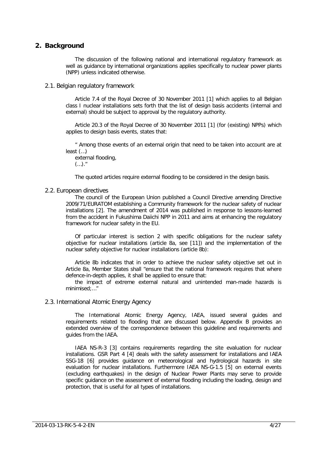## <span id="page-4-0"></span>**2. Background**

The discussion of the following national and international regulatory framework as well as guidance by international organizations applies specifically to nuclear power plants (NPP) unless indicated otherwise.

<span id="page-4-1"></span>2.1. Belgian regulatory framework

Article 7.4 of the Royal Decree of 30 November 2011 [\[1\]](#page-16-3) which applies to all Belgian class I nuclear installations sets forth that the list of design basis accidents (internal and external) should be subject to approval by the regulatory authority.

Article 20.3 of the Royal Decree of 30 November 2011 [\[1\]](#page-16-3) (for (existing) NPPs) which applies to design basis events, states that:

" Among those events of an external origin that need to be taken into account are at least (…)

external flooding,  $(...).$ "

The quoted articles require external flooding to be considered in the design basis.

#### <span id="page-4-2"></span>2.2. European directives

The council of the European Union published a Council Directive amending Directive 2009/71/EURATOM establishing a Community framework for the nuclear safety of nuclear installations [\[2\]](#page-16-2). The amendment of 2014 was published in response to lessons-learned from the accident in Fukushima Daiichi NPP in 2011 and aims at enhancing the regulatory framework for nuclear safety in the EU.

Of particular interest is section 2 with specific obligations for the nuclear safety objective for nuclear installations (article 8a, see [\[11\]](#page-16-4)) and the implementation of the nuclear safety objective for nuclear installations (article 8b):

Article 8b indicates that in order to achieve the nuclear safety objective set out in Article 8a, Member States shall "ensure that the national framework requires that where defence-in-depth applies, it shall be applied to ensure that:

the impact of extreme external natural and unintended man-made hazards is minimised;…"

#### <span id="page-4-3"></span>2.3. International Atomic Energy Agency

The International Atomic Energy Agency, IAEA, issued several guides and requirements related to flooding that are discussed below. Appendix [B](#page-24-0) provides an extended overview of the correspondence between this guideline and requirements and guides from the IAEA.

IAEA NS-R-3 [\[3\]](#page-16-5) contains requirements regarding the site evaluation for nuclear installations. GSR Part 4 [\[4\]](#page-16-6) deals with the safety assessment for installations and IAEA SSG-18 [\[6\]](#page-16-7) provides guidance on meteorological and hydrological hazards in site evaluation for nuclear installations. Furthermore IAEA NS-G-1.5 [\[5\]](#page-16-8) on external events (excluding earthquakes) in the design of Nuclear Power Plants may serve to provide specific guidance on the assessment of external flooding including the loading, design and protection, that is useful for all types of installations.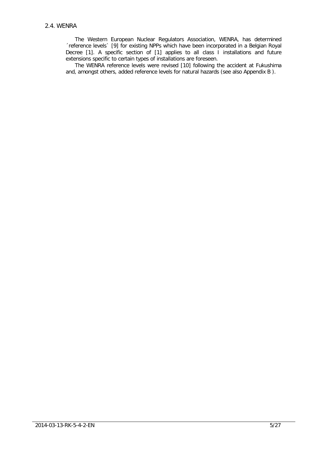<span id="page-5-0"></span>The Western European Nuclear Regulators Association, WENRA, has determined ´reference levels` [\[9\]](#page-16-9) for existing NPPs which have been incorporated in a Belgian Royal Decree [\[1\]](#page-16-3). A specific section of [\[1\]](#page-16-3) applies to all class I installations and future extensions specific to certain types of installations are foreseen.

The WENRA reference levels were revised [\[10\]](#page-16-10) following the accident at Fukushima and, amongst others, added reference levels for natural hazards (see also Appendix [B](#page-24-0) ).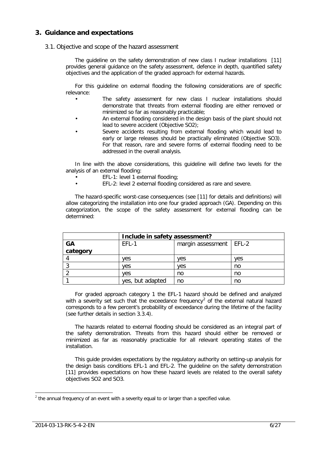## <span id="page-6-0"></span>**3. Guidance and expectations**

#### <span id="page-6-1"></span>3.1. Objective and scope of the hazard assessment

The guideline on the safety demonstration of new class I nuclear installations [\[11\]](#page-16-4) provides general guidance on the safety assessment, defence in depth, quantified safety objectives and the application of the graded approach for external hazards.

For this guideline on external flooding the following considerations are of specific relevance:

- The safety assessment for new class I nuclear installations should demonstrate that threats from external flooding are either removed or minimized so far as reasonably practicable;
- An external flooding considered in the design basis of the plant should not lead to severe accident (Objective SO2);
- Severe accidents resulting from external flooding which would lead to early or large releases should be practically eliminated (Objective SO3). For that reason, rare and severe forms of external flooding need to be addressed in the overall analysis.

In line with the above considerations, this guideline will define two levels for the analysis of an external flooding:

- EFL-1: level 1 external flooding;
- EFL-2: level 2 external flooding considered as rare and severe.

The hazard-specific worst-case consequences (see [\[11\]](#page-16-4) for details and definitions) will allow categorizing the installation into one four graded approach (GA). Depending on this categorization, the scope of the safety assessment for external flooding can be determined:

|          | Include in safety assessment? |                           |     |
|----------|-------------------------------|---------------------------|-----|
| GA       | EFL-1                         | margin assessment   EFL-2 |     |
| category |                               |                           |     |
|          | ves                           | ves                       | ves |
|          | ves                           | ves                       | no  |
|          | ves                           | no                        | no  |
|          | yes, but adapted              | no                        | no  |

For graded approach category 1 the EFL-1 hazard should be defined and analyzed with a severity set such that the exceedance frequency<sup>[2](#page-6-2)</sup> of the external natural hazard corresponds to a few percent's probability of exceedance during the lifetime of the facility (see further details in section [3.3.4\)](#page-12-0).

The hazards related to external flooding should be considered as an integral part of the safety demonstration. Threats from this hazard should either be removed or minimized as far as reasonably practicable for all relevant operating states of the installation.

This guide provides expectations by the regulatory authority on setting-up analysis for the design basis conditions EFL-1 and EFL-2. The guideline on the safety demonstration [\[11\]](#page-16-4) provides expectations on how these hazard levels are related to the overall safety objectives SO2 and SO3.

<span id="page-6-2"></span> $2$  the annual frequency of an event with a severity equal to or larger than a specified value.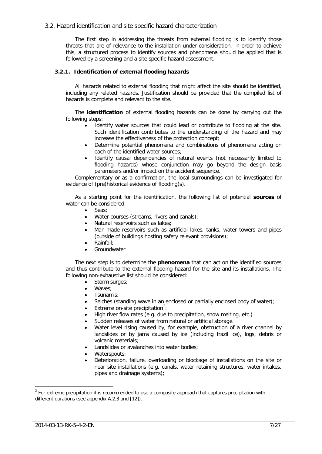#### <span id="page-7-0"></span>3.2. Hazard identification and site specific hazard characterization

The first step in addressing the threats from external flooding is to identify those threats that are of relevance to the installation under consideration. In order to achieve this, a structured process to identify sources and phenomena should be applied that is followed by a screening and a site specific hazard assessment.

#### <span id="page-7-1"></span>**3.2.1. Identification of external flooding hazards**

All hazards related to external flooding that might affect the site should be identified, including any related hazards. Justification should be provided that the compiled list of hazards is complete and relevant to the site.

The **identification** of external flooding hazards can be done by carrying out the following steps:

- Identify water sources that could lead or contribute to flooding at the site. Such identification contributes to the understanding of the hazard and may increase the effectiveness of the protection concept;
- Determine potential phenomena and combinations of phenomena acting on each of the identified water sources;
- Identify causal dependencies of natural events (not necessarily limited to flooding hazards) whose conjunction may go beyond the design basis parameters and/or impact on the accident sequence.

Complementary or as a confirmation, the local surroundings can be investigated for evidence of (pre)historical evidence of flooding(s).

As a starting point for the identification, the following list of potential **sources** of water can be considered:

- Seas;
- Water courses (streams, rivers and canals);
- Natural reservoirs such as lakes;
- Man-made reservoirs such as artificial lakes, tanks, water towers and pipes (outside of buildings hosting safety relevant provisions);
- Rainfall;
- Groundwater.

The next step is to determine the **phenomena** that can act on the identified sources and thus contribute to the external flooding hazard for the site and its installations. The following non-exhaustive list should be considered:

- Storm surges:
- Waves:
- Tsunamis;
- Seiches (standing wave in an enclosed or partially enclosed body of water);
- Extreme on-site precipitation<sup>[3](#page-7-2)</sup>;
- High river flow rates (e.g. due to precipitation, snow melting, etc.)
- Sudden releases of water from natural or artificial storage.
- Water level rising caused by, for example, obstruction of a river channel by landslides or by jams caused by ice (including frazil ice), logs, debris or volcanic materials;
- Landslides or avalanches into water bodies;
- Waterspouts:
- Deterioration, failure, overloading or blockage of installations on the site or near site installations (e.g. canals, water retaining structures, water intakes, pipes and drainage systems);

<span id="page-7-2"></span> $3$  For extreme precipitation it is recommended to use a composite approach that captures precipitation with different durations (see appendix A.2.3 and [\[12\]](#page-16-11)).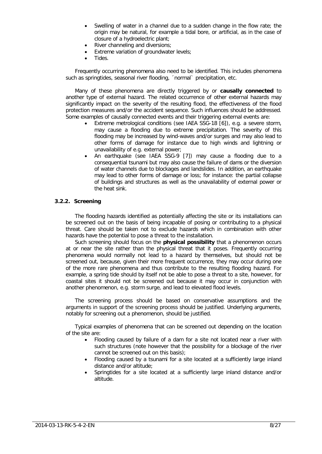- Swelling of water in a channel due to a sudden change in the flow rate; the origin may be natural, for example a tidal bore, or artificial, as in the case of closure of a hydroelectric plant;
- River channeling and diversions;
- Extreme variation of groundwater levels;
- Tides.

Frequently occurring phenomena also need to be identified. This includes phenomena such as springtides, seasonal river flooding, 'normal' precipitation, etc.

Many of these phenomena are directly triggered by or **causally connected** to another type of external hazard. The related occurrence of other external hazards may significantly impact on the severity of the resulting flood, the effectiveness of the flood protection measures and/or the accident sequence. Such influences should be addressed. Some examples of causally connected events and their triggering external events are:

- Extreme metrological conditions (see IAEA SSG-18 [\[6\]](#page-16-7)), e.g. a severe storm, may cause a flooding due to extreme precipitation. The severity of this flooding may be increased by wind-waves and/or surges and may also lead to other forms of damage for instance due to high winds and lightning or unavailability of e.g. external power;
- An earthquake (see IAEA SSG-9 [\[7\]](#page-16-12)) may cause a flooding due to a consequential tsunami but may also cause the failure of dams or the diversion of water channels due to blockages and landslides. In addition, an earthquake may lead to other forms of damage or loss; for instance: the partial collapse of buildings and structures as well as the unavailability of external power or the heat sink.

#### <span id="page-8-0"></span>**3.2.2. Screening**

The flooding hazards identified as potentially affecting the site or its installations can be screened out on the basis of being incapable of posing or contributing to a physical threat. Care should be taken not to exclude hazards which in combination with other hazards have the potential to pose a threat to the installation.

Such screening should focus on the **physical possibility** that a phenomenon occurs at or near the site rather than the physical threat that it poses. Frequently occurring phenomena would normally not lead to a hazard by themselves, but should not be screened out, because, given their more frequent occurrence, they may occur during one of the more rare phenomena and thus contribute to the resulting flooding hazard. For example, a spring tide should by itself not be able to pose a threat to a site, however, for coastal sites it should not be screened out because it may occur in conjunction with another phenomenon, e.g. storm surge, and lead to elevated flood levels.

The screening process should be based on conservative assumptions and the arguments in support of the screening process should be justified. Underlying arguments, notably for screening out a phenomenon, should be justified.

Typical examples of phenomena that can be screened out depending on the location of the site are:

- Flooding caused by failure of a dam for a site not located near a river with such structures (note however that the possibility for a blockage of the river cannot be screened out on this basis);
- Flooding caused by a tsunami for a site located at a sufficiently large inland distance and/or altitude;
- Springtides for a site located at a sufficiently large inland distance and/or altitude.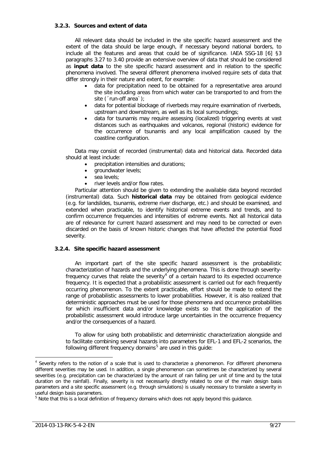#### <span id="page-9-0"></span>**3.2.3. Sources and extent of data**

All relevant data should be included in the site specific hazard assessment and the extent of the data should be large enough, if necessary beyond national borders, to include all the features and areas that could be of significance. IAEA SSG-18 [\[6\]](#page-16-7) §3 paragraphs 3.27 to 3.40 provide an extensive overview of data that should be considered as **input data** to the site specific hazard assessment and in relation to the specific phenomena involved. The several different phenomena involved require sets of data that differ strongly in their nature and extent, for example:

- data for precipitation need to be obtained for a representative area around the site including areas from which water can be transported to and from the site ('run-off area');
- data for potential blockage of riverbeds may require examination of riverbeds, upstream and downstream, as well as its local surroundings;
- data for tsunamis may require assessing (localized) triggering events at vast distances such as earthquakes and volcanos, regional (historic) evidence for the occurrence of tsunamis and any local amplification caused by the coastline configuration.

Data may consist of recorded (instrumental) data and historical data. Recorded data should at least include:

- precipitation intensities and durations;
- groundwater levels;
- sea levels;
- river levels and/or flow rates.

Particular attention should be given to extending the available data beyond recorded (instrumental) data. Such **historical data** may be obtained from geological evidence (e.g. for landslides, tsunamis, extreme river discharge, etc.) and should be examined, and extended when practicable, to identify historical extreme events and trends, and to confirm occurrence frequencies and intensities of extreme events. Not all historical data are of relevance for current hazard assessment and may need to be corrected or even discarded on the basis of known historic changes that have affected the potential flood severity.

#### <span id="page-9-1"></span>**3.2.4. Site specific hazard assessment**

An important part of the site specific hazard assessment is the probabilistic characterization of hazards and the underlying phenomena. This is done through severity-frequency curves that relate the severity<sup>[4](#page-9-2)</sup> of a certain hazard to its expected occurrence frequency. It is expected that a probabilistic assessment is carried out for each frequently occurring phenomenon. To the extent practicable, effort should be made to extend the range of probabilistic assessments to lower probabilities. However, it is also realized that deterministic approaches must be used for those phenomena and occurrence probabilities for which insufficient data and/or knowledge exists so that the application of the probabilistic assessment would introduce large uncertainties in the occurrence frequency and/or the consequences of a hazard.

To allow for using both probabilistic and deterministic characterization alongside and to facilitate combining several hazards into parameters for EFL-1 and EFL-2 scenarios, the following different frequency domains<sup>[5](#page-9-3)</sup> are used in this quide:

<span id="page-9-2"></span>Severity refers to the notion of a scale that is used to characterize a phenomenon. For different phenomena different severities may be used. In addition, a single phenomenon can sometimes be characterized by several severities (e.g. precipitation can be characterized by the amount of rain falling per unit of time and by the total duration on the rainfall). Finally, severity is not necessarily directly related to one of the main design basis parameters and a site specific assessment (e.g. through simulations) is usually necessary to translate a severity in useful design basis parameters.

<span id="page-9-3"></span> $<sup>5</sup>$  Note that this is a local definition of frequency domains which does not apply beyond this quidance.</sup>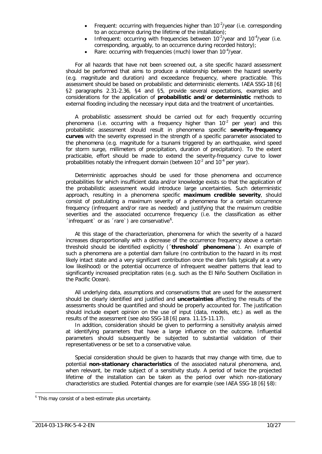- Frequent: occurring with frequencies higher than  $10^{-2}/year$  (i.e. corresponding to an occurrence during the lifetime of the installation);
- Infrequent: occurring with frequencies between  $10^{-2}/year$  and  $10^{-4}/year$  (i.e. corresponding, arguably, to an occurrence during recorded history);
- Rare: occurring with frequencies (much) lower than  $10^{-4}/year$ .

For all hazards that have not been screened out, a site specific hazard assessment should be performed that aims to produce a relationship between the hazard severity (e.g. magnitude and duration) and exceedance frequency, where practicable. This assessment should be based on probabilistic and deterministic elements. IAEA SSG-18 [\[6\]](#page-16-7) §2 paragraphs 2.31-2.36, §4 and §5, provide several expectations, examples and considerations for the application of **probabilistic and/or deterministic** methods to external flooding including the necessary input data and the treatment of uncertainties.

A probabilistic assessment should be carried out for each frequently occurring phenomena (i.e. occurring with a frequency higher than  $10^{-2}$  per year) and this probabilistic assessment should result in phenomena specific **severity-frequency curves** with the severity expressed in the strength of a specific parameter associated to the phenomena (e.g. magnitude for a tsunami triggered by an earthquake, wind speed for storm surge, millimeters of precipitation, duration of precipitation). To the extent practicable, effort should be made to extend the severity-frequency curve to lower probabilities notably the infrequent domain (between  $10^{-2}$  and  $10^{-4}$  per year).

Deterministic approaches should be used for those phenomena and occurrence probabilities for which insufficient data and/or knowledge exists so that the application of the probabilistic assessment would introduce large uncertainties. Such deterministic approach, resulting in a phenomena specific **maximum credible severity**, should consist of postulating a maximum severity of a phenomena for a certain occurrence frequency (infrequent and/or rare as needed) and justifying that the maximum credible severities and the associated occurrence frequency (i.e. the classification as either  $\int$ infrequent or as  $\int$ rare  $\int$ ) are conservative $\int$ <sup>[6](#page-10-0)</sup>.

At this stage of the characterization, phenomena for which the severity of a hazard increases disproportionally with a decrease of the occurrence frequency above a certain threshold should be identified explicitly (**´threshold` phenomena**´). An example of such a phenomena are a potential dam failure (no contribution to the hazard in its most likely intact state and a very significant contribution once the dam fails typically at a very low likelihood) or the potential occurrence of infrequent weather patterns that lead to significantly increased precipitation rates (e.g. such as the El Niño Southern Oscillation in the Pacific Ocean).

All underlying data, assumptions and conservatisms that are used for the assessment should be clearly identified and justified and **uncertainties** affecting the results of the assessments should be quantified and should be properly accounted for. The justification should include expert opinion on the use of input (data, models, etc.) as well as the results of the assessment (see also SSG-18 [\[6\]](#page-16-7) para. 11.15-11.17).

In addition, consideration should be given to performing a sensitivity analysis aimed at identifying parameters that have a large influence on the outcome. Influential parameters should subsequently be subjected to substantial validation of their representativeness or be set to a conservative value.

Special consideration should be given to hazards that may change with time, due to potential **non-stationary characteristics** of the associated natural phenomena, and, when relevant, be made subject of a sensitivity study. A period of twice the projected lifetime of the installation can be taken as the period over which non-stationary characteristics are studied. Potential changes are for example (see IAEA SSG-18 [\[6\]](#page-16-7) §8):

<span id="page-10-0"></span> $6$  This may consist of a best-estimate plus uncertainty.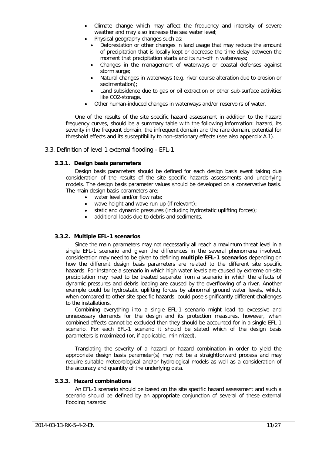- Climate change which may affect the frequency and intensity of severe weather and may also increase the sea water level;
- Physical geography changes such as:
	- Deforestation or other changes in land usage that may reduce the amount of precipitation that is locally kept or decrease the time delay between the moment that precipitation starts and its run-off in waterways;
	- Changes in the management of waterways or coastal defenses against storm surge:
	- Natural changes in waterways (e.g. river course alteration due to erosion or sedimentation);
	- Land subsidence due to gas or oil extraction or other sub-surface activities like CO2-storage.
- Other human-induced changes in waterways and/or reservoirs of water.

One of the results of the site specific hazard assessment in addition to the hazard frequency curves, should be a summary table with the following information: hazard, its severity in the frequent domain, the infrequent domain and the rare domain, potential for threshold effects and its susceptibility to non-stationary effects (see also appendix A.1).

#### <span id="page-11-1"></span><span id="page-11-0"></span>3.3. Definition of level 1 external flooding - EFL-1

#### **3.3.1. Design basis parameters**

Design basis parameters should be defined for each design basis event taking due consideration of the results of the site specific hazards assessments and underlying models. The design basis parameter values should be developed on a conservative basis. The main design basis parameters are:

- water level and/or flow rate;
- wave height and wave run-up (if relevant);
- static and dynamic pressures (including hydrostatic uplifting forces);
- additional loads due to debris and sediments.

#### <span id="page-11-2"></span>**3.3.2. Multiple EFL-1 scenarios**

Since the main parameters may not necessarily all reach a maximum threat level in a single EFL-1 scenario and given the differences in the several phenomena involved, consideration may need to be given to defining **multiple EFL-1 scenarios** depending on how the different design basis parameters are related to the different site specific hazards. For instance a scenario in which high water levels are caused by extreme on-site precipitation may need to be treated separate from a scenario in which the effects of dynamic pressures and debris loading are caused by the overflowing of a river. Another example could be hydrostatic uplifting forces by abnormal ground water levels, which, when compared to other site specific hazards, could pose significantly different challenges to the installations.

Combining everything into a single EFL-1 scenario might lead to excessive and unnecessary demands for the design and its protection measures, however, when combined effects cannot be excluded then they should be accounted for in a single EFL-1 scenario. For each EFL-1 scenario it should be stated which of the design basis parameters is maximized (or, if applicable, minimized).

Translating the severity of a hazard or hazard combination in order to yield the appropriate design basis parameter(s) may not be a straightforward process and may require suitable meteorological and/or hydrological models as well as a consideration of the accuracy and quantity of the underlying data.

#### <span id="page-11-3"></span>**3.3.3. Hazard combinations**

An EFL-1 scenario should be based on the site specific hazard assessment and such a scenario should be defined by an appropriate conjunction of several of these external flooding hazards: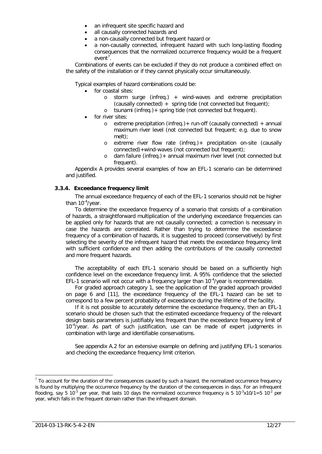- an infrequent site specific hazard and
- all causally connected hazards and
- a non-causally connected but frequent hazard or
- a non-causally connected, infrequent hazard with such long-lasting flooding consequences that the normalized occurrence frequency would be a frequent event<sup>[7](#page-12-1)</sup>.

Combinations of events can be excluded if they do not produce a combined effect on the safety of the installation or if they cannot physically occur simultaneously.

Typical examples of hazard combinations could be:

- for coastal sites:
	- o storm surge (infreq.) + wind-waves and extreme precipitation (causally connected) + spring tide (not connected but frequent);
	- o tsunami (infreq.)+ spring tide (not connected but frequent).
- for river sites:
	- $\circ$  extreme precipitation (infreq.) + run-off (causally connected) + annual maximum river level (not connected but frequent; e.g. due to snow melt);
	- o extreme river flow rate (infreq.)+ precipitation on-site (causally connected)+wind-waves (not connected but frequent);
	- o dam failure (infreq.)+ annual maximum river level (not connected but frequent).

Appendix [A](#page-17-0) provides several examples of how an EFL-1 scenario can be determined and justified.

#### <span id="page-12-0"></span>**3.3.4. Exceedance frequency limit**

The annual exceedance frequency of each of the EFL-1 scenarios should not be higher than 10<sup>-4</sup>/year.

To determine the exceedance frequency of a scenario that consists of a combination of hazards, a straightforward multiplication of the underlying exceedance frequencies can be applied only for hazards that are not causally connected; a correction is necessary in case the hazards are correlated. Rather than trying to determine the exceedance frequency of a combination of hazards, it is suggested to proceed (conservatively) by first selecting the severity of the infrequent hazard that meets the exceedance frequency limit with sufficient confidence and then adding the contributions of the causally connected and more frequent hazards.

The acceptability of each EFL-1 scenario should be based on a sufficiently high confidence level on the exceedance frequency limit. A 95% confidence that the selected EFL-1 scenario will not occur with a frequency larger than  $10^{-4}/year$  is recommendable.

For graded approach category 1, see the application of the graded approach provided on page [6](#page-6-1) and [\[11\]](#page-16-4), the exceedance frequency of the EFL-1 hazard can be set to correspond to a few percent probability of exceedance during the lifetime of the facility.

If it is not possible to accurately determine the exceedance frequency, then an EFL-1 scenario should be chosen such that the estimated exceedance frequency of the relevant design basis parameters is justifiably less frequent than the exceedance frequency limit of 10<sup>-4</sup>/year. As part of such justification, use can be made of expert judgments in combination with large and identifiable conservatisms.

See appendix A.2 for an extensive example on defining and justifying EFL-1 scenarios and checking the exceedance frequency limit criterion.

<span id="page-12-1"></span> $7$  To account for the duration of the consequences caused by such a hazard, the normalized occurrence frequency is found by multiplying the occurrence frequency by the duration of the consequences in days. For an infrequent flooding, say 5 10<sup>-3</sup> per year, that lasts 10 days the normalized occurrence frequency is 5 10<sup>-3</sup>x10/1=5 10<sup>-2</sup> per year, which falls in the frequent domain rather than the infrequent domain.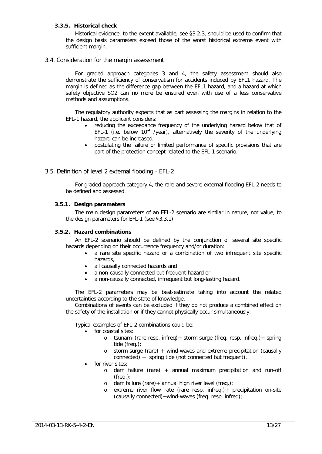#### <span id="page-13-0"></span>**3.3.5. Historical check**

Historical evidence, to the extent available, see [§3.2.3,](#page-9-0) should be used to confirm that the design basis parameters exceed those of the worst historical extreme event with sufficient margin.

#### <span id="page-13-1"></span>3.4. Consideration for the margin assessment

For graded approach categories 3 and 4, the safety assessment should also demonstrate the sufficiency of conservatism for accidents induced by EFL1 hazard. The margin is defined as the difference gap between the EFL1 hazard, and a hazard at which safety objective SO2 can no more be ensured even with use of a less conservative methods and assumptions.

The regulatory authority expects that as part assessing the margins in relation to the EFL-1 hazard, the applicant considers:

- reducing the exceedance frequency of the underlying hazard below that of EFL-1 (i.e. below  $10^{-4}$  /year), alternatively the severity of the underlying hazard can be increased;
- postulating the failure or limited performance of specific provisions that are part of the protection concept related to the EFL-1 scenario.

#### <span id="page-13-2"></span>3.5. Definition of level 2 external flooding - EFL-2

For graded approach category 4, the rare and severe external flooding EFL-2 needs to be defined and assessed.

#### <span id="page-13-3"></span>**3.5.1. Design parameters**

The main design parameters of an EFL-2 scenario are similar in nature, not value, to the design parameters for EFL-1 (see [§3.3.1\)](#page-11-1).

#### <span id="page-13-4"></span>**3.5.2. Hazard combinations**

An EFL-2 scenario should be defined by the conjunction of several site specific hazards depending on their occurrence frequency and/or duration:

- a rare site specific hazard or a combination of two infrequent site specific hazards,
- all causally connected hazards and
- a non-causally connected but frequent hazard or
- a non-causally connected, infrequent but long-lasting hazard.

The EFL-2 parameters may be best-estimate taking into account the related uncertainties according to the state of knowledge.

Combinations of events can be excluded if they do not produce a combined effect on the safety of the installation or if they cannot physically occur simultaneously.

Typical examples of EFL-2 combinations could be:

- for coastal sites:
	- o tsunami (rare resp. infreq)+ storm surge (freq. resp. infreq.)+ spring tide (freq.);
	- o storm surge (rare) + wind-waves and extreme precipitation (causally connected) + spring tide (not connected but frequent).
- for river sites:
	- $\circ$  dam failure (rare) + annual maximum precipitation and run-off (freq.);
	- o dam failure (rare)+ annual high river level (freq.);
	- o extreme river flow rate (rare resp. infreq.)+ precipitation on-site (causally connected)+wind-waves (freq. resp. infreq);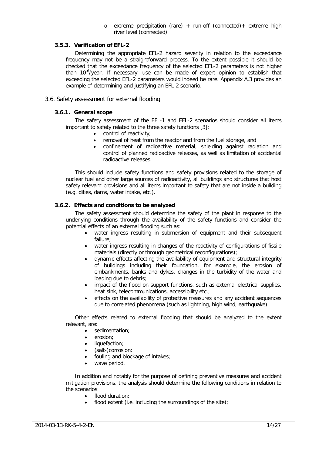$\circ$  extreme precipitation (rare) + run-off (connected) + extreme high river level (connected).

#### <span id="page-14-0"></span>**3.5.3. Verification of EFL-2**

Determining the appropriate EFL-2 hazard severity in relation to the exceedance frequency may not be a straightforward process. To the extent possible it should be checked that the exceedance frequency of the selected EFL-2 parameters is not higher than 10<sup>-6</sup>/year. If necessary, use can be made of expert opinion to establish that exceeding the selected EFL-2 parameters would indeed be rare. Appendix A.3 provides an example of determining and justifying an EFL-2 scenario.

## <span id="page-14-2"></span><span id="page-14-1"></span>3.6. Safety assessment for external flooding

#### **3.6.1. General scope**

The safety assessment of the EFL-1 and EFL-2 scenarios should consider all items important to safety related to the three safety functions [\[3\]](#page-16-5):

- control of reactivity,
- removal of heat from the reactor and from the fuel storage, and
- confinement of radioactive material, shielding against radiation and control of planned radioactive releases, as well as limitation of accidental radioactive releases.

This should include safety functions and safety provisions related to the storage of nuclear fuel and other large sources of radioactivity, all buildings and structures that host safety relevant provisions and all items important to safety that are not inside a building (e.g. dikes, dams, water intake, etc.).

#### <span id="page-14-3"></span>**3.6.2. Effects and conditions to be analyzed**

The safety assessment should determine the safety of the plant in response to the underlying conditions through the availability of the safety functions and consider the potential effects of an external flooding such as:

- water ingress resulting in submersion of equipment and their subsequent failure;
- water ingress resulting in changes of the reactivity of configurations of fissile materials (directly or through geometrical reconfigurations);
- dynamic effects affecting the availability of equipment and structural integrity of buildings including their foundation, for example, the erosion of embankments, banks and dykes, changes in the turbidity of the water and loading due to debris;
- impact of the flood on support functions, such as external electrical supplies, heat sink, telecommunications, accessibility etc.;
- effects on the availability of protective measures and any accident sequences due to correlated phenomena (such as lightning, high wind, earthquake).

Other effects related to external flooding that should be analyzed to the extent relevant, are:

- sedimentation;
- erosion;
- liquefaction:
- (salt-)corrosion;
- fouling and blockage of intakes;
- wave period.

In addition and notably for the purpose of defining preventive measures and accident mitigation provisions, the analysis should determine the following conditions in relation to the scenarios:

- flood duration;
- flood extent (i.e. including the surroundings of the site);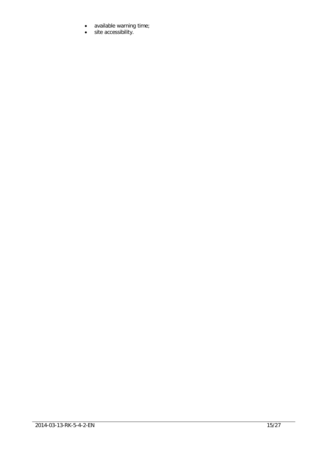- available warning time;
- site accessibility.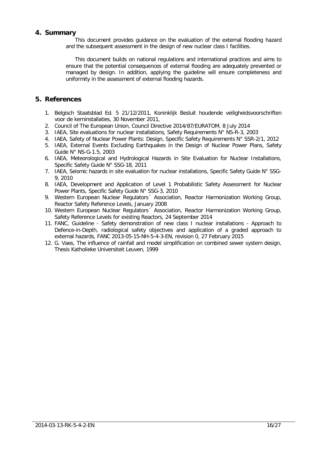## <span id="page-16-0"></span>**4. Summary**

This document provides guidance on the evaluation of the external flooding hazard and the subsequent assessment in the design of new nuclear class I facilities.

This document builds on national regulations and international practices and aims to ensure that the potential consequences of external flooding are adequately prevented or managed by design. In addition, applying the guideline will ensure completeness and uniformity in the assessment of external flooding hazards.

## <span id="page-16-1"></span>**5. References**

- <span id="page-16-3"></span>1. Belgisch Staatsblad Ed. 5 21/12/2011, Koninklijk Besluit houdende veiligheidsvoorschriften voor de kerninstallaties, 30 November 2011,
- <span id="page-16-2"></span>2. Council of The European Union, Council Directive 2014/87/EURATOM, 8 July 2014
- <span id="page-16-5"></span>3. IAEA, Site evaluations for nuclear installations, Safety Requirements N° NS-R-3, 2003
- <span id="page-16-6"></span>4. IAEA, Safety of Nuclear Power Plants: Design, Specific Safety Requirements N° SSR-2/1, 2012
- <span id="page-16-8"></span>5. IAEA, External Events Excluding Earthquakes in the Design of Nuclear Power Plans, Safety Guide N° NS-G-1.5, 2003
- <span id="page-16-7"></span>6. IAEA, Meteorological and Hydrological Hazards in Site Evaluation for Nuclear Installations, Specific Safety Guide N° SSG-18, 2011
- <span id="page-16-12"></span>7. IAEA, Seismic hazards in site evaluation for nuclear installations, Specific Safety Guide N° SSG-9, 2010
- 8. IAEA, Development and Application of Level 1 Probabilistic Safety Assessment for Nuclear Power Plants, Specific Safety Guide N° SSG-3, 2010
- <span id="page-16-9"></span>9. Western European Nuclear Regulators Association, Reactor Harmonization Working Group, Reactor Safety Reference Levels, January 2008
- <span id="page-16-10"></span>10. Western European Nuclear Regulators´ Association, Reactor Harmonization Working Group, Safety Reference Levels for existing Reactors, 24 September 2014
- <span id="page-16-4"></span>11. FANC, Guideline - Safety demonstration of new class I nuclear installations - Approach to Defence-in-Depth, radiological safety objectives and application of a graded approach to external hazards, FANC 2013-05-15-NH-5-4-3-EN, revision 0, 27 February 2015
- <span id="page-16-11"></span>12. G. Vaes, The influence of rainfall and model simplification on combined sewer system design, Thesis Katholieke Universiteit Leuven, 1999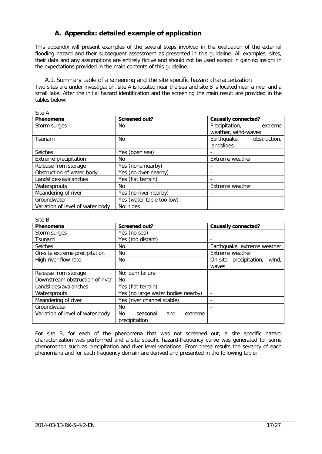# **A. Appendix: detailed example of application**

<span id="page-17-0"></span>This appendix will present examples of the several steps involved in the evaluation of the external flooding hazard and their subsequent assessment as presented in this guideline. All examples, sites, their data and any assumptions are entirely fictive and should not be used except in gaining insight in the expectations provided in the main contents of this guideline.

<span id="page-17-1"></span>A.1. Summary table of a screening and the site specific hazard characterization

Two sites are under investigation, site A is located near the sea and site B is located near a river and a small lake. After the initial hazard identification and the screening the main result are provided in the tables below:

| しいしょ                             |                           |                            |
|----------------------------------|---------------------------|----------------------------|
| Phenomena                        | Screened out?             | <b>Causally connected?</b> |
| Storm surges                     | No.                       | Precipitation,<br>extreme  |
|                                  |                           | weather, wind-waves        |
| Tsunami                          | No.                       | Earthquake, obstruction,   |
|                                  |                           | landslides                 |
| <b>Seiches</b>                   | Yes (open sea)            |                            |
| Extreme precipitation            | No.                       | Extreme weather            |
| Release from storage             | Yes (none nearby)         |                            |
| Obstruction of water body        | Yes (no river nearby)     |                            |
| Landslides/avalanches            | Yes (flat terrain)        |                            |
| Watersprouts                     | No.                       | <b>Extreme</b> weather     |
| Meandering of river              | Yes (no river nearby)     |                            |
| Groundwater                      | Yes (water table too low) |                            |
| Variation of level of water body | No: tides                 |                            |

#### Site A

#### $C<sub>th</sub> D$

| Phenomena                        | <b>Screened out?</b>                               | Causally connected?             |
|----------------------------------|----------------------------------------------------|---------------------------------|
| Storm surges                     | Yes (no sea)                                       |                                 |
| Tsunami                          | Yes (too distant)                                  |                                 |
| <b>Seiches</b>                   | No.                                                | Earthquake, extreme weather     |
| On-site extreme precipitation    | No.                                                | Extreme weather                 |
| High river flow rate             | No.                                                | wind,<br>On-site precipitation, |
|                                  |                                                    | waves                           |
| Release from storage             | No: dam failure                                    |                                 |
| Downstream obstruction of river  | No.                                                |                                 |
| Landslides/avalanches            | Yes (flat terrain)                                 | -                               |
| Watersprouts                     | Yes (no large water bodies nearby)                 | -                               |
| Meandering of river              | Yes (river channel stable)                         | -                               |
| Groundwater                      | No.                                                |                                 |
| Variation of level of water body | No:<br>seasonal<br>extreme<br>and<br>precipitation |                                 |

For site B, for each of the phenomena that was not screened out, a site specific hazard characterization was performed and a site specific hazard-frequency curve was generated for some phenomenon such as precipitation and river level variations. From these results the severity of each phenomena and for each frequency domain are derived and presented in the following table: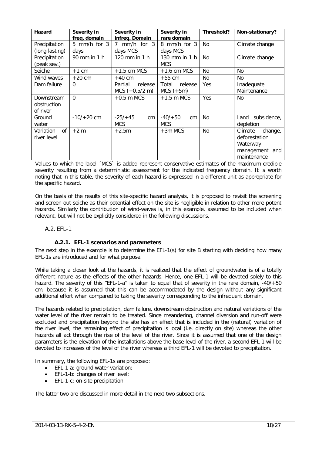| <b>Hazard</b>                         | Severity in<br>freq. domain | Severity in<br>infreq. Domain          | Severity in<br>rare domain      | Threshold?     | Non-stationary?                                                                  |
|---------------------------------------|-----------------------------|----------------------------------------|---------------------------------|----------------|----------------------------------------------------------------------------------|
| Precipitation<br>(long lasting)       | 5 mm/h for $3$<br>days      | $mm/h$ for 3<br>7<br>days MCS          | 8 mm/h for 3<br>days MCS        | N <sub>0</sub> | Climate change                                                                   |
| Precipitation<br>(peak sev.)          | 90 mm in 1 h                | 120 mm in 1 h                          | 130 mm in 1 h<br><b>MCS</b>     | <b>No</b>      | Climate change                                                                   |
| Seiche                                | $+1$ cm                     | $+1.5$ cm MCS                          | $+1.6$ cm MCS                   | <b>No</b>      | N <sub>0</sub>                                                                   |
| Wind waves                            | $+20$ cm                    | $+40$ cm                               | $+55$ cm                        | N <sub>o</sub> | N <sub>0</sub>                                                                   |
| Dam failure                           | $\Omega$                    | Partial<br>release<br>$MCS (+0.5/2 m)$ | Total<br>release<br>$MCS (+5m)$ | Yes            | Inadequate<br>Maintenance                                                        |
| Downstream<br>obstruction<br>of river | $\Omega$                    | $+0.5$ m MCS                           | $+1.5$ m MCS                    | Yes            | No.                                                                              |
| Ground<br>water                       | $-10/ + 20$ cm              | $-25/+45$<br>cm<br><b>MCS</b>          | $-40/+50$<br>cm<br><b>MCS</b>   | N <sub>o</sub> | Land subsidence.<br>depletion                                                    |
| Variation<br>0f<br>river level        | $+2$ m                      | $+2.5m$                                | $+3m$ MCS                       | <b>No</b>      | Climate<br>change,<br>deforestation<br>Waterway<br>management and<br>maintenance |

Values to which the label ´MCS` is added represent conservative estimates of the maximum credible severity resulting from a deterministic assessment for the indicated frequency domain. It is worth noting that in this table, the severity of each hazard is expressed in a different unit as appropriate for the specific hazard.

On the basis of the results of this site-specific hazard analysis, it is proposed to revisit the screening and screen out seiche as their potential effect on the site is negligible in relation to other more potent hazards. Similarly the contribution of wind-waves is, in this example, assumed to be included when relevant, but will not be explicitly considered in the following discussions.

#### <span id="page-18-1"></span><span id="page-18-0"></span>A.2. EFL-1

## **A.2.1. EFL-1 scenarios and parameters**

The next step in the example is to determine the EFL-1(s) for site B starting with deciding how many EFL-1s are introduced and for what purpose.

While taking a closer look at the hazards, it is realized that the effect of groundwater is of a totally different nature as the effects of the other hazards. Hence, one EFL-1 will be devoted solely to this hazard. The severity of this "EFL-1-a" is taken to equal that of severity in the rare domain, -40/+50 cm, because it is assumed that this can be accommodated by the design without any significant additional effort when compared to taking the severity corresponding to the infrequent domain.

The hazards related to precipitation, dam failure, downstream obstruction and natural variations of the water level of the river remain to be treated. Since meandering, channel diversion and run-off were excluded and precipitation beyond the site has an effect that is included in the (natural) variation of the river level, the remaining effect of precipitation is local (i.e. directly on site) whereas the other hazards all act through the rise of the level of the river. Since it is assumed that one of the design parameters is the elevation of the installations above the base level of the river, a second EFL-1 will be devoted to increases of the level of the river whereas a third EFL-1 will be devoted to precipitation.

In summary, the following EFL-1s are proposed:

- EFL-1-a: ground water variation;
- EFL-1-b: changes of river level;
- EFL-1-c: on-site precipitation.

The latter two are discussed in more detail in the next two subsections.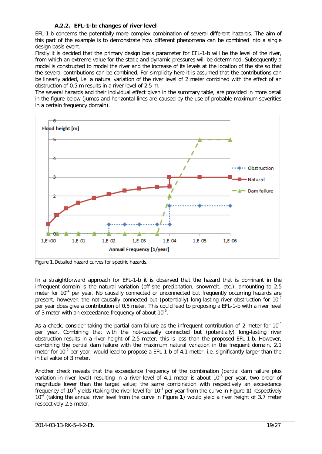## **A.2.2. EFL-1-b: changes of river level**

<span id="page-19-0"></span>EFL-1-b concerns the potentially more complex combination of several different hazards. The aim of this part of the example is to demonstrate how different phenomena can be combined into a single design basis event.

Firstly it is decided that the primary design basis parameter for EFL-1-b will be the level of the river, from which an extreme value for the static and dynamic pressures will be determined. Subsequently a model is constructed to model the river and the increase of its levels at the location of the site so that the several contributions can be combined. For simplicity here it is assumed that the contributions can be linearly added, i.e. a natural variation of the river level of 2 meter combined with the effect of an obstruction of 0.5 m results in a river level of 2.5 m.

The several hazards and their individual effect given in the summary table, are provided in more detail in the figure below (jumps and horizontal lines are caused by the use of probable maximum severities in a certain frequency domain).



<span id="page-19-1"></span>Figure 1.Detailed hazard curves for specific hazards.

In a straightforward approach for EFL-1-b it is observed that the hazard that is dominant in the infrequent domain is the natural variation (off-site precipitation, snowmelt, etc.), amounting to 2.5 meter for 10<sup>-4</sup> per year. No causally connected or unconnected but frequently occurring hazards are present, however, the not-causally connected but (potentially) long-lasting river obstruction for  $10^{-2}$ per year does give a contribution of 0.5 meter. This could lead to proposing a EFL-1-b with a river level of 3 meter with an exceedance frequency of about  $10^{-5}$ .

As a check, consider taking the partial dam-failure as the infrequent contribution of 2 meter for  $10^{-4}$ per year. Combining that with the not-causally connected but (potentially) long-lasting river obstruction results in a river height of 2.5 meter; this is less than the proposed EFL-1-b. However, combining the partial dam failure with the maximum natural variation in the frequent domain, 2.1 meter for  $10^{-2}$  per year, would lead to propose a EFL-1-b of 4.1 meter, i.e. significantly larger than the initial value of 3 meter.

Another check reveals that the exceedance frequency of the combination (partial dam failure plus variation in river level) resulting in a river level of 4.1 meter is about 10<sup>-6</sup> per year, two order of magnitude lower than the target value; the same combination with respectively an exceedance frequency of 10-5 yields (taking the river level for 10-1 per year from the curve in [Figure](#page-19-1) **1**) respectively 10-4 (taking the annual river level from the curve in [Figure](#page-19-1) **1**) would yield a river height of 3.7 meter respectively 2.5 meter.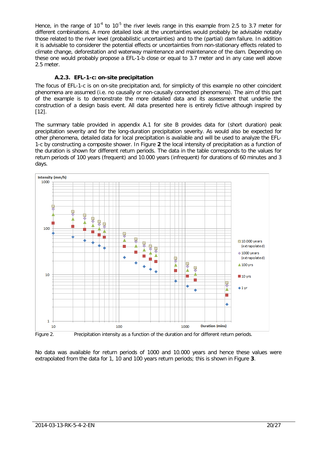Hence, in the range of  $10^{-4}$  to  $10^{-5}$  the river levels range in this example from 2.5 to 3.7 meter for different combinations. A more detailed look at the uncertainties would probably be advisable notably those related to the river level (probabilistic uncertainties) and to the (partial) dam failure. In addition it is advisable to considerer the potential effects or uncertainties from non-stationary effects related to climate change, deforestation and waterway maintenance and maintenance of the dam. Depending on these one would probably propose a EFL-1-b close or equal to 3.7 meter and in any case well above 2.5 meter.

## **A.2.3. EFL-1-c: on-site precipitation**

<span id="page-20-0"></span>The focus of EFL-1-c is on on-site precipitation and, for simplicity of this example no other coincident phenomena are assumed (i.e. no causally or non-causally connected phenomena). The aim of this part of the example is to demonstrate the more detailed data and its assessment that underlie the construction of a design basis event. All data presented here is entirely fictive although inspired by [\[12\]](#page-16-11).

The summary table provided in appendix [A.1](#page-17-1) for site B provides data for (short duration) peak precipitation severity and for the long-duration precipitation severity. As would also be expected for other phenomena, detailed data for local precipitation is available and will be used to analyze the EFL-1-c by constructing a composite shower. In [Figure](#page-20-1) **2** the local intensity of precipitation as a function of the duration is shown for different return periods. The data in the table corresponds to the values for return periods of 100 years (frequent) and 10.000 years (infrequent) for durations of 60 minutes and 3 days.



<span id="page-20-1"></span>No data was available for return periods of 1000 and 10.000 years and hence these values were extrapolated from the data for 1, 10 and 100 years return periods; this is shown in [Figure](#page-21-0) **3**.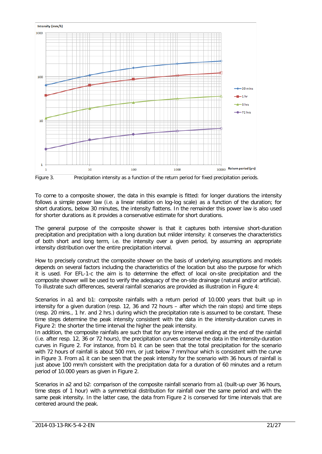

<span id="page-21-0"></span>Figure 3. Precipitation intensity as a function of the return period for fixed precipitation periods.

To come to a composite shower, the data in this example is fitted: for longer durations the intensity follows a simple power law (i.e. a linear relation on log-log scale) as a function of the duration; for short durations, below 30 minutes, the intensity flattens. In the remainder this power law is also used for shorter durations as it provides a conservative estimate for short durations.

The general purpose of the composite shower is that it captures both intensive short-duration precipitation and precipitation with a long duration but milder intensity: it conserves the characteristics of both short and long term, i.e. the intensity over a given period, by assuming an appropriate intensity distribution over the entire precipitation interval.

How to precisely construct the composite shower on the basis of underlying assumptions and models depends on several factors including the characteristics of the location but also the purpose for which it is used. For EFL-1-c the aim is to determine the effect of local on-site precipitation and the composite shower will be used to verify the adequacy of the on-site drainage (natural and/or artificial). To illustrate such differences, several rainfall scenarios are provided as illustration in [Figure 4:](#page-22-0)

Scenarios in a1 and b1: composite rainfalls with a return period of 10.000 years that built up in intensity for a given duration (resp. 12, 36 and 72 hours – after which the rain stops) and time steps (resp. 20 mins., 1 hr. and 2 hrs.) during which the precipitation rate is assumed to be constant. These time steps determine the peak intensity consistent with the data in the intensity-duration curves in [Figure 2:](#page-20-1) the shorter the time interval the higher the peak intensity.

In addition, the composite rainfalls are such that for any time interval ending at the end of the rainfall (i.e. after resp. 12, 36 or 72 hours), the precipitation curves conserve the data in the intensity-duration curves in [Figure 2.](#page-20-1) For instance, from b1 it can be seen that the total precipitation for the scenario with 72 hours of rainfall is about 500 mm, or just below 7 mm/hour which is consistent with the curve in [Figure 3.](#page-21-0) From a1 it can be seen that the peak intensity for the scenario with 36 hours of rainfall is just above 100 mm/h consistent with the precipitation data for a duration of 60 minutes and a return period of 10.000 years as given in [Figure 2.](#page-20-1)

Scenarios in a2 and b2: comparison of the composite rainfall scenario from a1 (built-up over 36 hours, time steps of 1 hour) with a symmetrical distribution for rainfall over the same period and with the same peak intensity. In the latter case, the data from [Figure 2](#page-20-1) is conserved for time intervals that are centered around the peak.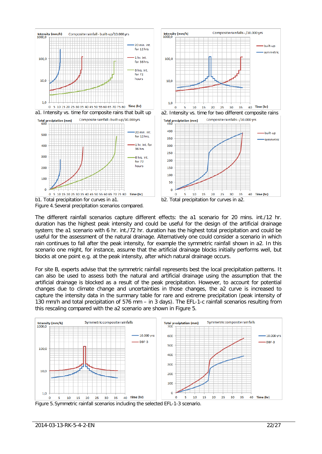

<span id="page-22-0"></span>The different rainfall scenarios capture different effects: the a1 scenario for 20 mins. int./12 hr. duration has the highest peak intensity and could be useful for the design of the artificial drainage system; the a1 scenario with 6 hr. int./72 hr. duration has the highest total precipitation and could be useful for the assessment of the natural drainage. Alternatively one could consider a scenario in which rain continues to fall after the peak intensity, for example the symmetric rainfall shown in a2. In this scenario one might, for instance, assume that the artificial drainage blocks initially performs well, but blocks at one point e.g. at the peak intensity, after which natural drainage occurs.

For site B, experts advise that the symmetric rainfall represents best the local precipitation patterns. It can also be used to assess both the natural and artificial drainage using the assumption that the artificial drainage is blocked as a result of the peak precipitation. However, to account for potential changes due to climate change and uncertainties in those changes, the a2 curve is increased to capture the intensity data in the summary table for rare and extreme precipitation (peak intensity of 130 mm/h and total precipitation of 576 mm – in 3 days). The EFL-1-c rainfall scenarios resulting from this rescaling compared with the a2 scenario are shown in [Figure 5.](#page-22-1)



<span id="page-22-1"></span>Figure 5.Symmetric rainfall scenarios including the selected EFL-1-3 scenario.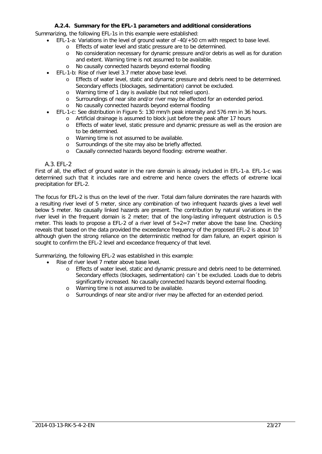## **A.2.4. Summary for the EFL-1 parameters and additional considerations**

<span id="page-23-0"></span>Summarizing, the following EFL-1s in this example were established:

- EFL-1-a: Variations in the level of ground water of -40/+50 cm with respect to base level.
	- o Effects of water level and static pressure are to be determined.
	- o No consideration necessary for dynamic pressure and/or debris as well as for duration and extent. Warning time is not assumed to be available.
	- o No causally connected hazards beyond external flooding
	- EFL-1-b: Rise of river level 3.7 meter above base level.
		- o Effects of water level, static and dynamic pressure and debris need to be determined. Secondary effects (blockages, sedimentation) cannot be excluded.
		- o Warning time of 1 day is available (but not relied upon).<br>
		o Surroundings of near site and/or river may be affected fo
		- o Surroundings of near site and/or river may be affected for an extended period.<br>
		o No causally connected hazards bevond external flooding
		- No causally connected hazards beyond external flooding
	- EFL-1-c: See distribution in [Figure 5:](#page-22-1) 130 mm/h peak intensity and 576 mm in 36 hours.
		- o Artificial drainage is assumed to block just before the peak after 17 hours
			- o Effects of water level, static pressure and dynamic pressure as well as the erosion are to be determined.
			- o Warning time is not assumed to be available.
			- o Surroundings of the site may also be briefly affected.
			- o Causally connected hazards beyond flooding: extreme weather.

#### A.3. EFL-2

<span id="page-23-1"></span>First of all, the effect of ground water in the rare domain is already included in EFL-1-a. EFL-1-c was determined such that it includes rare and extreme and hence covers the effects of extreme local precipitation for EFL-2.

The focus for EFL-2 is thus on the level of the river. Total dam failure dominates the rare hazards with a resulting river level of 5 meter, since any combination of two infrequent hazards gives a level well below 5 meter. No causally linked hazards are present. The contribution by natural variations in the river level in the frequent domain is 2 meter; that of the long-lasting infrequent obstruction is 0.5 meter. This leads to propose a EFL-2 of a river level of  $5+2=7$  meter above the base line. Checking reveals that based on the data provided the exceedance frequency of the proposed EFL-2 is about 10<sup>-</sup> although given the strong reliance on the deterministic method for dam failure, an expert opinion is sought to confirm the EFL-2 level and exceedance frequency of that level.

Summarizing, the following EFL-2 was established in this example:

- Rise of river level 7 meter above base level.
	- o Effects of water level, static and dynamic pressure and debris need to be determined. Secondary effects (blockages, sedimentation) can´t be excluded. Loads due to debris significantly increased. No causally connected hazards beyond external flooding.
	- o Warning time is not assumed to be available.
	- o Surroundings of near site and/or river may be affected for an extended period.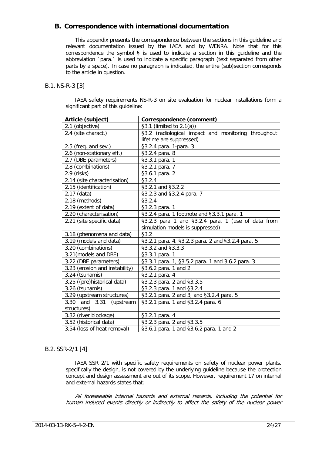# <span id="page-24-0"></span>**B. Correspondence with international documentation**

This appendix presents the correspondence between the sections in this guideline and relevant documentation issued by the IAEA and by WENRA. Note that for this correspondence the symbol  $\S$  is used to indicate a section in this guideline and the abbreviation ´para.` is used to indicate a specific paragraph (text separated from other parts by a space). In case no paragraph is indicated, the entire (sub)section corresponds to the article in question.

## <span id="page-24-1"></span>B.1. NS-R-3 [\[3\]](#page-16-5)

IAEA safety requirements NS-R-3 on site evaluation for nuclear installations form a significant part of this guideline:

| Article (subject)              | <b>Correspondence (comment)</b>                     |
|--------------------------------|-----------------------------------------------------|
| 2.1 (objective)                | §3.1 (limited to $2.1(a)$ )                         |
| 2.4 (site charact.)            | §3.2 (radiological impact and monitoring throughout |
|                                | lifetime are suppressed)                            |
| 2.5 (freq. and sev.)           | §3.2.4 para. 1-para. 3                              |
| 2.6 (non-stationary eff.)      | §3.2.4 para. 8                                      |
| 2.7 (DBE parameters)           | §3.3.1 para. 1                                      |
| 2.8 (combinations)             | §3.2.1 para. 7                                      |
| $2.9$ (risks)                  | §3.6.1 para. 2                                      |
| 2.14 (site characterisation)   | §3.2.4                                              |
| 2.15 (identification)          | §3.2.1 and §3.2.2                                   |
| $2.17$ (data)                  | §3.2.3 and §3.2.4 para. 7                           |
| 2.18 (methods)                 | \$3.2.4                                             |
| 2.19 (extent of data)          | §3.2.3 para. 1                                      |
| 2.20 (characterisation)        | §3.2.4 para. 1 footnote and §3.3.1 para. 1          |
| 2.21 (site specific data)      | §3.2.3 para 1 and §3.2.4 para. 1 (use of data from  |
|                                | simulation models is suppressed)                    |
| 3.18 (phenomena and data)      | §3.2                                                |
| 3.19 (models and data)         | §3.2.1 para. 4, §3.2.3 para. 2 and §3.2.4 para. 5   |
| 3.20 (combinations)            | §3.3.2 and §3.3.3                                   |
| 3.21(models and DBE)           | §3.3.1 para. 1                                      |
| 3.22 (DBE parameters)          | §3.3.1 para. 1, §3.5.2 para. 1 and 3.6.2 para. 3    |
| 3.23 (erosion and instability) | §3.6.2 para. 1 and 2                                |
| 3.24 (tsunamis)                | §3.2.1 para. 4                                      |
| 3.25 ((pre)historical data)    | §3.2.3 para. 2 and §3.3.5                           |
| 3.26 (tsunamis)                | §3.2.3 para. 1 and §3.2.4                           |
| 3.29 (upstream structures)     | §3.2.1 para. 2 and 3, and §3.2.4 para. 5            |
| 3.30 and 3.31<br>(upstream     | §3.2.1 para. 1 and §3.2.4 para. 6                   |
| structures)                    |                                                     |
| 3.32 (river blockage)          | §3.2.1 para. 4                                      |
| 3.52 (historical data)         | §3.2.3 para. 2 and §3.3.5                           |
| 3.54 (loss of heat removal)    | §3.6.1 para. 1 and §3.6.2 para. 1 and 2             |

## <span id="page-24-2"></span>B.2. SSR-2/1 [\[4\]](#page-16-6)

IAEA SSR 2/1 with specific safety requirements on safety of nuclear power plants, specifically the design, is not covered by the underlying guideline because the protection concept and design assessment are out of its scope. However, requirement 17 on internal and external hazards states that:

All foreseeable internal hazards and external hazards, including the potential for human induced events directly or indirectly to affect the safety of the nuclear power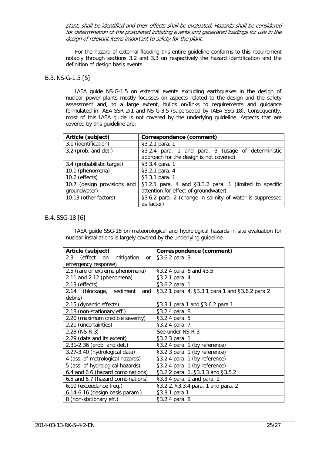plant, shall be identified and their effects shall be evaluated. Hazards shall be considered for determination of the postulated initiating events and generated loadings for use in the design of relevant items important to safety for the plant.

For the hazard of external flooding this entire guideline conforms to this requirement notably through sections [3.2](#page-7-0) and [3.3](#page-11-0) on respectively the hazard identification and the definition of design basis events.

#### <span id="page-25-0"></span>B.3. NS-G-1.5 [\[5\]](#page-16-8)

IAEA guide NS-G-1.5 on external events excluding earthquakes in the design of nuclear power plants mostly focusses on aspects related to the design and the safety assessment and, to a large extent, builds on/links to requirements and guidance formulated in IAEA SSR 2/1 and NS-G-3.5 (superseded by IAEA SSG-18). Consequently, most of this IAEA guide is not covered by the underlying guideline. Aspects that are covered by this guideline are:

| Article (subject)                           | Correspondence (comment)                                                                       |
|---------------------------------------------|------------------------------------------------------------------------------------------------|
| 3.1 (identification)                        | §3.2.1 para. 1                                                                                 |
| 3.2 (prob. and det.)                        | §3.2.4 para. 1 and para. 3 (usage of deterministic<br>approach for the design is not covered)  |
| 3.4 (probabilistic target)                  | §3.3.4 para. 1                                                                                 |
| 10.1 (phenomena)                            | §3.2.1 para. 4                                                                                 |
| 10.2 (effects)                              | §3.3.1 para. 1                                                                                 |
| 10.7 (design provisions and<br>groundwater) | §3.2.1 para. 4 and §3.3.2 para. 1 (limited to specific<br>attention for effect of groundwater) |
| 10.13 (other factors)                       | §3.6.2 para. 2 (change in salinity of water is suppressed<br>as factor)                        |

## <span id="page-25-1"></span>B.4. SSG-18 [\[6\]](#page-16-7)

IAEA guide SSG-18 on meteorological and hydrological hazards in site evaluation for nuclear installations is largely covered by the underlying guideline:

| Article (subject)                  | Correspondence (comment)                        |
|------------------------------------|-------------------------------------------------|
| 2.3 (effect on<br>mitigation<br>or | §3.6.2 para. 3                                  |
| emergency response)                |                                                 |
| 2.5 (rare or extreme phenomena)    | §3.2.4 para. 6 and §3.5                         |
| 2.11 and 2.12 (phenomena)          | §3.2.1 para. 4                                  |
| 2.13 (effects)                     | §3.6.2 para. 1                                  |
| 2.14 (blockage, sediment<br>and    | §3.2.1 para. 4, §3.3.1 para 1 and §3.6.2 para 2 |
| debris)                            |                                                 |
| 2.15 (dynamic effects)             | §3.3.1 para 1 and §3.6.2 para 1                 |
| 2.18 (non-stationary eff.)         | §3.2.4 para. 8                                  |
| 2.20 (maximum credible severity)   | §3.2.4 para. 5                                  |
| 2.21 (uncertainties)               | §3.2.4 para. 7                                  |
| 2.28 (NS-R-3)                      | See under NS-R-3                                |
| 2.29 (data and its extent)         | §3.2.3 para. 1                                  |
| 2.31-2.36 (prob. and det.)         | §3.2.4 para. 1 (by reference)                   |
| 3.27-3.40 (hydrological data)      | §3.2.3 para. 1 (by reference)                   |
| 4 (ass. of metrological hazards)   | §3.2.4 para. 1 (by reference)                   |
| 5 (ass. of hydrological hazards)   | §3.2.4 para. 1 (by reference)                   |
| 6.4 and 6.6 (hazard combinations)  | §3.2.2 para. 1, §3.3.3 and §3.5.2               |
| 6.5 and 6.7 (hazard combinations)  | §3.3.4 para. 1 and para. 2                      |
| 6.10 (exceedance freq.)            | §3.2.2, §3.3.4 para. 1 and para. 2              |
| 6.14-6.16 (design basis param.)    | §3.3.1 para 1                                   |
| 8 (non-stationary eff.)            | §3.2.4 para. 8                                  |